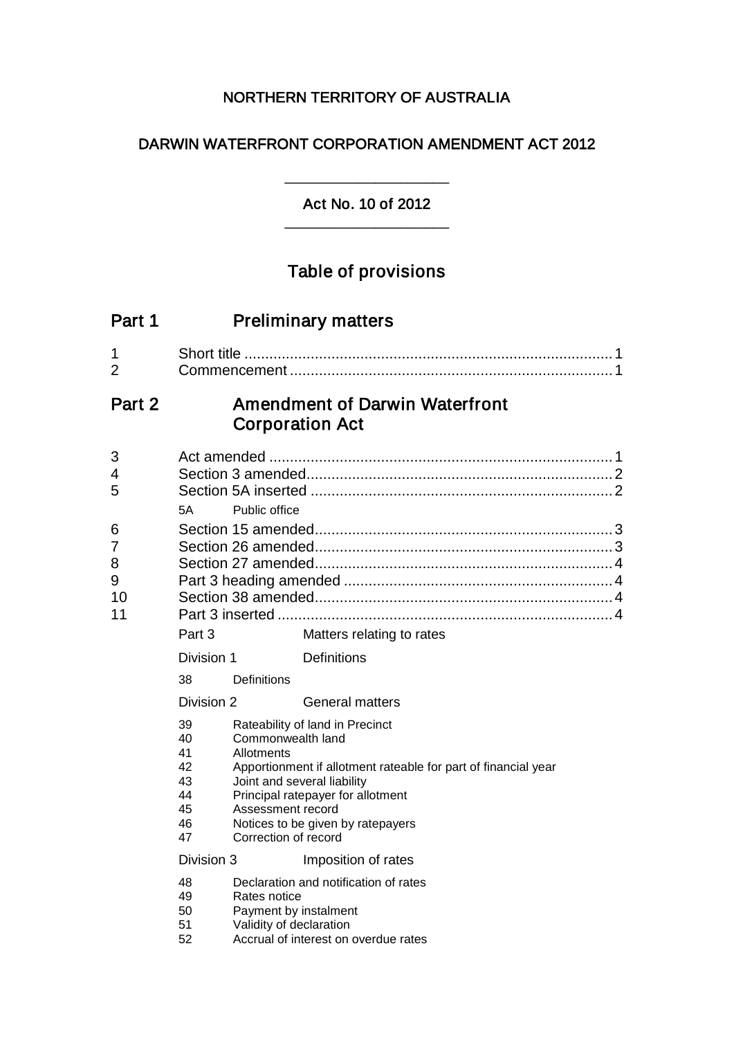# NORTHERN TERRITORY OF AUSTRALIA

# DARWIN WATERFRONT CORPORATION AMENDMENT ACT 2012

#### Act No. 10 of 2012 \_\_\_\_\_\_\_\_\_\_\_\_\_\_\_\_\_\_\_\_

\_\_\_\_\_\_\_\_\_\_\_\_\_\_\_\_\_\_\_\_

# Table of provisions

| <b>Preliminary matters</b>                                      |                                                                                                                                                                                                                                                         |                                        |                                                                                                                                                                                      |  |
|-----------------------------------------------------------------|---------------------------------------------------------------------------------------------------------------------------------------------------------------------------------------------------------------------------------------------------------|----------------------------------------|--------------------------------------------------------------------------------------------------------------------------------------------------------------------------------------|--|
|                                                                 |                                                                                                                                                                                                                                                         |                                        |                                                                                                                                                                                      |  |
| <b>Amendment of Darwin Waterfront</b><br><b>Corporation Act</b> |                                                                                                                                                                                                                                                         |                                        |                                                                                                                                                                                      |  |
| 5A                                                              | Public office                                                                                                                                                                                                                                           |                                        |                                                                                                                                                                                      |  |
| Part 3                                                          |                                                                                                                                                                                                                                                         | Matters relating to rates              |                                                                                                                                                                                      |  |
|                                                                 |                                                                                                                                                                                                                                                         | <b>Definitions</b>                     |                                                                                                                                                                                      |  |
| 38                                                              | Definitions                                                                                                                                                                                                                                             |                                        |                                                                                                                                                                                      |  |
|                                                                 |                                                                                                                                                                                                                                                         | <b>General matters</b>                 |                                                                                                                                                                                      |  |
| 39<br>40<br>41<br>42<br>43<br>44<br>45<br>46<br>47              | Commonwealth land<br>Allotments<br>Apportionment if allotment rateable for part of financial year<br>Joint and several liability<br>Principal ratepayer for allotment<br>Assessment record<br>Notices to be given by ratepayers<br>Correction of record |                                        |                                                                                                                                                                                      |  |
|                                                                 |                                                                                                                                                                                                                                                         | Imposition of rates                    |                                                                                                                                                                                      |  |
| 48<br>49<br>50<br>51<br>52                                      |                                                                                                                                                                                                                                                         |                                        |                                                                                                                                                                                      |  |
|                                                                 |                                                                                                                                                                                                                                                         | Division 1<br>Division 2<br>Division 3 | Rateability of land in Precinct<br>Declaration and notification of rates<br>Rates notice<br>Payment by instalment<br>Validity of declaration<br>Accrual of interest on overdue rates |  |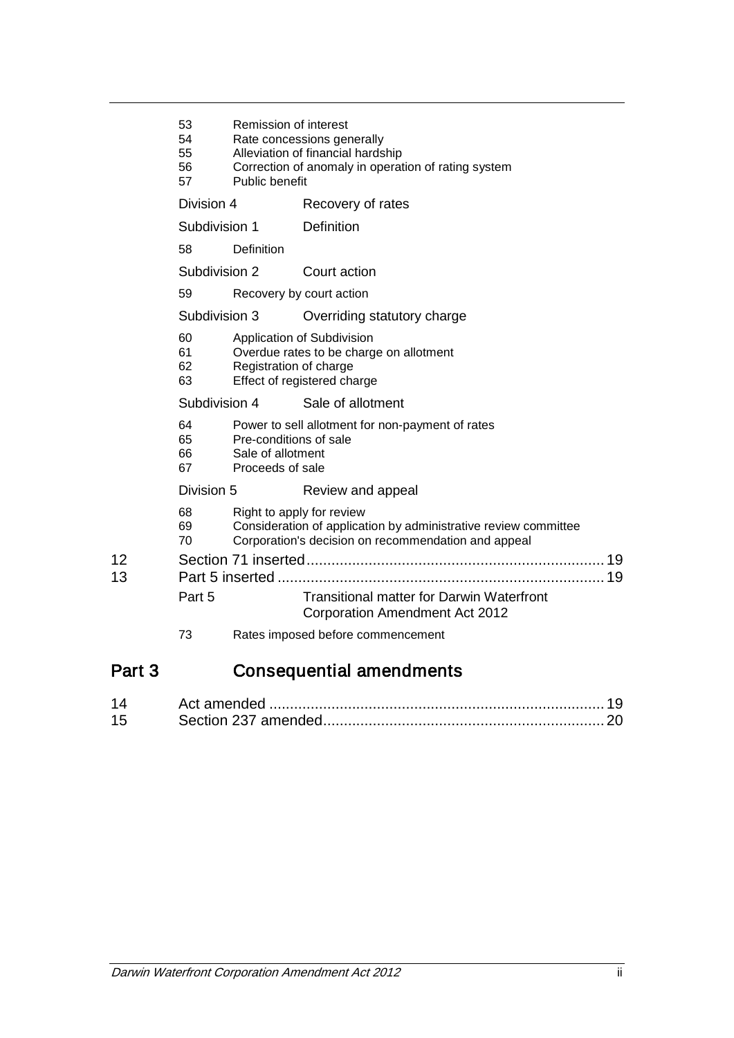|          | 53<br>54<br>55<br>56<br>57 | Remission of interest<br>Rate concessions generally<br>Alleviation of financial hardship<br>Correction of anomaly in operation of rating system<br>Public benefit |                                                                                                                                                     |  |
|----------|----------------------------|-------------------------------------------------------------------------------------------------------------------------------------------------------------------|-----------------------------------------------------------------------------------------------------------------------------------------------------|--|
|          | Division 4                 |                                                                                                                                                                   | Recovery of rates                                                                                                                                   |  |
|          | Subdivision 1              |                                                                                                                                                                   | Definition                                                                                                                                          |  |
|          | 58                         | <b>Definition</b>                                                                                                                                                 |                                                                                                                                                     |  |
|          | Subdivision 2              |                                                                                                                                                                   | Court action                                                                                                                                        |  |
|          | 59                         |                                                                                                                                                                   | Recovery by court action                                                                                                                            |  |
|          | Subdivision 3              |                                                                                                                                                                   | Overriding statutory charge                                                                                                                         |  |
|          | 60<br>61<br>62<br>63       | Application of Subdivision<br>Overdue rates to be charge on allotment<br>Registration of charge<br>Effect of registered charge                                    |                                                                                                                                                     |  |
|          | Subdivision 4              |                                                                                                                                                                   | Sale of allotment                                                                                                                                   |  |
|          | 64<br>65<br>66<br>67       | Pre-conditions of sale<br>Sale of allotment<br>Proceeds of sale                                                                                                   | Power to sell allotment for non-payment of rates                                                                                                    |  |
|          | Division 5                 |                                                                                                                                                                   | Review and appeal                                                                                                                                   |  |
|          | 68<br>69<br>70             |                                                                                                                                                                   | Right to apply for review<br>Consideration of application by administrative review committee<br>Corporation's decision on recommendation and appeal |  |
| 12<br>13 |                            |                                                                                                                                                                   |                                                                                                                                                     |  |
|          | Part 5                     |                                                                                                                                                                   | <b>Transitional matter for Darwin Waterfront</b><br><b>Corporation Amendment Act 2012</b>                                                           |  |
|          | 73                         |                                                                                                                                                                   | Rates imposed before commencement                                                                                                                   |  |
| Part 3   |                            |                                                                                                                                                                   | <b>Consequential amendments</b>                                                                                                                     |  |

| -15 |  |
|-----|--|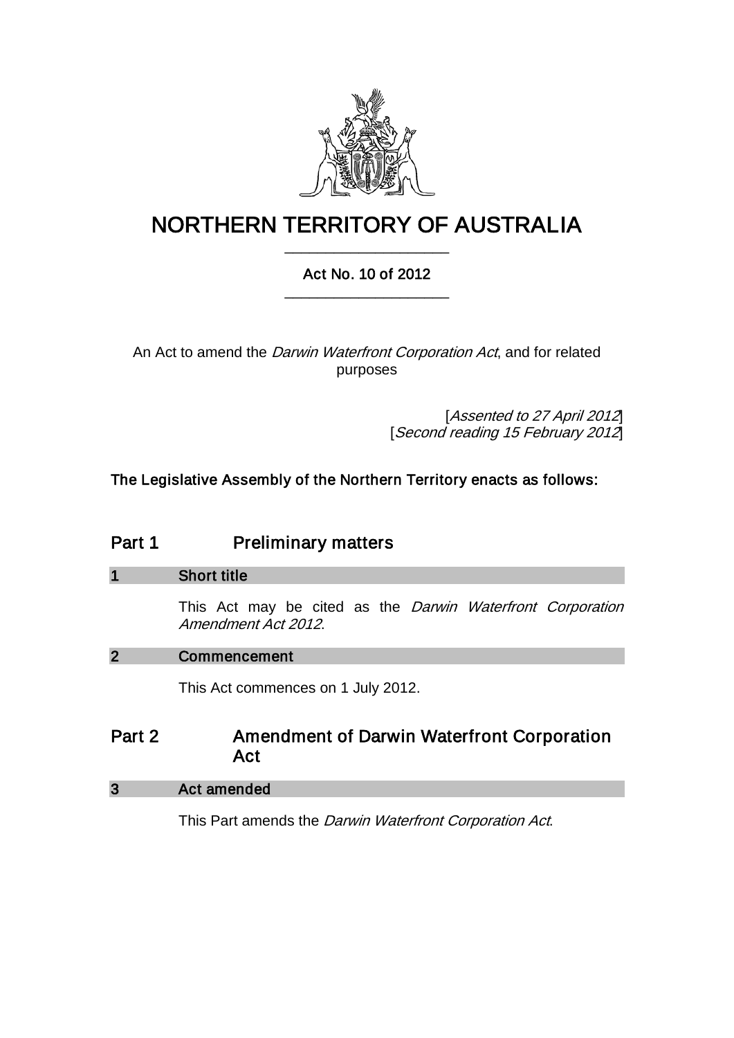

# NORTHERN TERRITORY OF AUSTRALIA \_\_\_\_\_\_\_\_\_\_\_\_\_\_\_\_\_\_\_\_

# Act No. 10 of 2012 \_\_\_\_\_\_\_\_\_\_\_\_\_\_\_\_\_\_\_\_

An Act to amend the *Darwin Waterfront Corporation Act*, and for related purposes

> [Assented to 27 April 2012] [Second reading 15 February 2012]

The Legislative Assembly of the Northern Territory enacts as follows:

# Part 1 **Preliminary matters**

## 1 Short title

This Act may be cited as the Darwin Waterfront Corporation Amendment Act 2012.

## 2 Commencement

This Act commences on 1 July 2012.

# Part 2 **Amendment of Darwin Waterfront Corporation** Act

## 3 Act amended

This Part amends the Darwin Waterfront Corporation Act.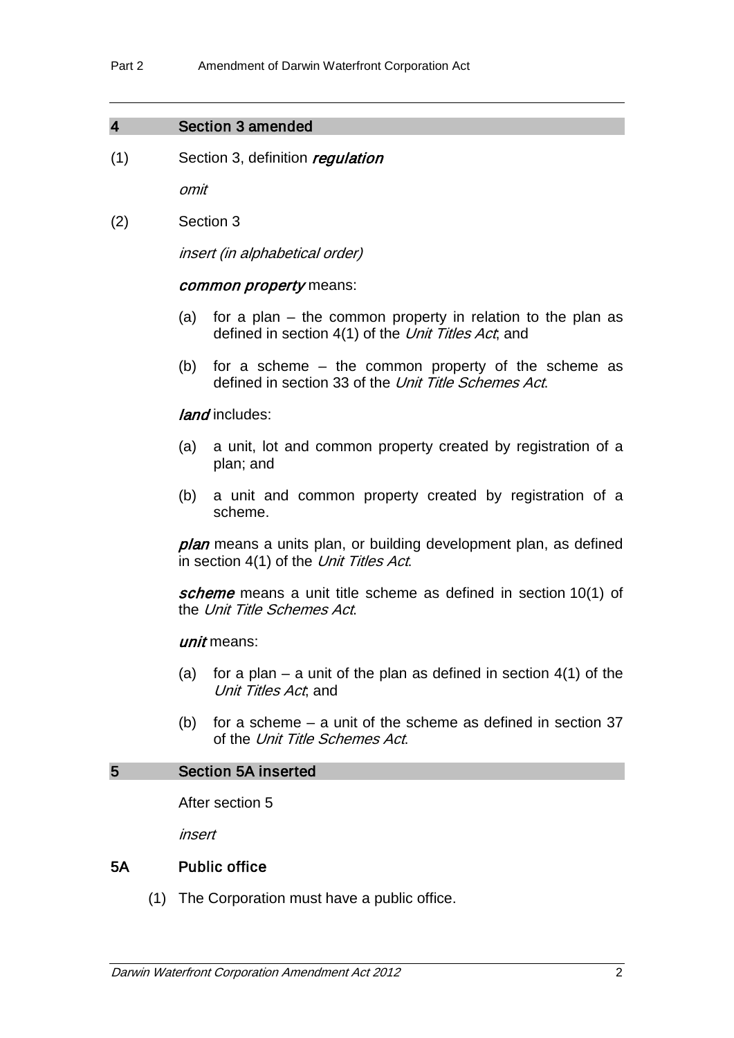#### 4 Section 3 amended

 $(1)$  Section 3, definition regulation

omit

(2) Section 3

insert (in alphabetical order)

#### common property means:

- (a) for a plan the common property in relation to the plan as defined in section 4(1) of the Unit Titles Act, and
- (b) for a scheme the common property of the scheme as defined in section 33 of the Unit Title Schemes Act.

#### land includes:

- (a) a unit, lot and common property created by registration of a plan; and
- (b) a unit and common property created by registration of a scheme.

plan means a units plan, or building development plan, as defined in section 4(1) of the Unit Titles Act.

scheme means a unit title scheme as defined in section 10(1) of the Unit Title Schemes Act.

#### unit means:

- (a) for a plan a unit of the plan as defined in section  $4(1)$  of the Unit Titles Act, and
- (b) for a scheme a unit of the scheme as defined in section 37 of the Unit Title Schemes Act.

## 5 Section 5A inserted

After section 5

insert

#### 5A Public office

(1) The Corporation must have a public office.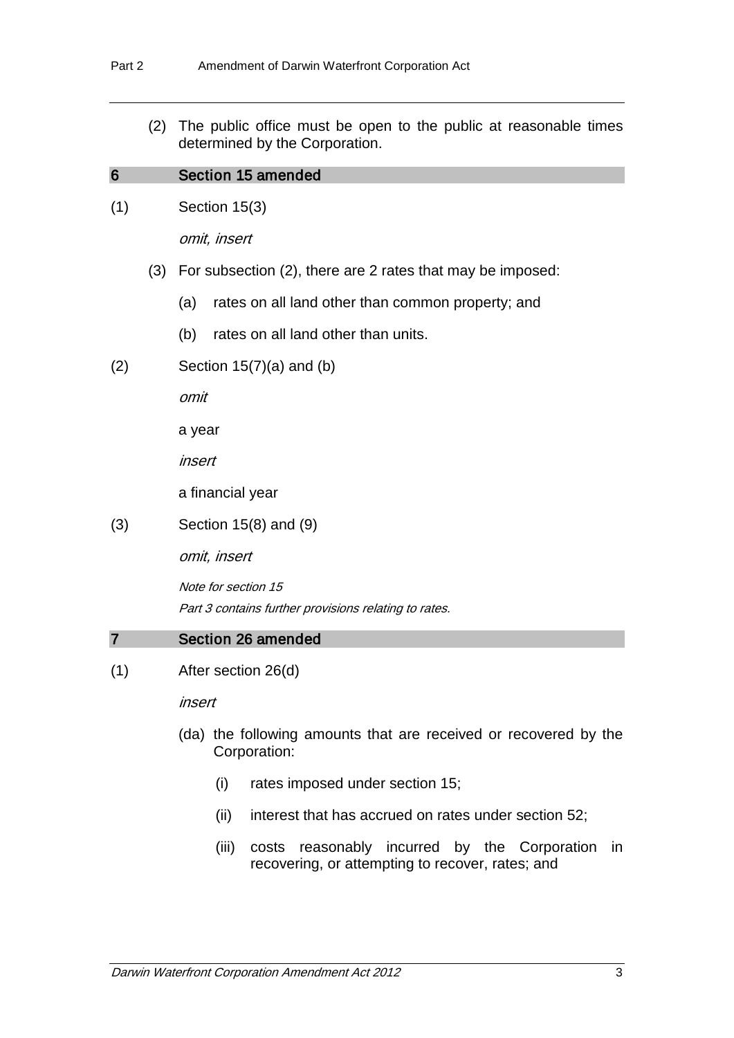(2) The public office must be open to the public at reasonable times determined by the Corporation.

#### 6 Section 15 amended

(1) Section 15(3)

omit, insert

- (3) For subsection (2), there are 2 rates that may be imposed:
	- (a) rates on all land other than common property; and
	- (b) rates on all land other than units.
- $(2)$  Section 15(7)(a) and (b)

omit

a year

insert

a financial year

(3) Section 15(8) and (9)

omit, insert

Note for section 15 Part 3 contains further provisions relating to rates.

#### 7 Section 26 amended

(1) After section 26(d)

insert

- (da) the following amounts that are received or recovered by the Corporation:
	- (i) rates imposed under section 15;
	- (ii) interest that has accrued on rates under section 52;
	- (iii) costs reasonably incurred by the Corporation in recovering, or attempting to recover, rates; and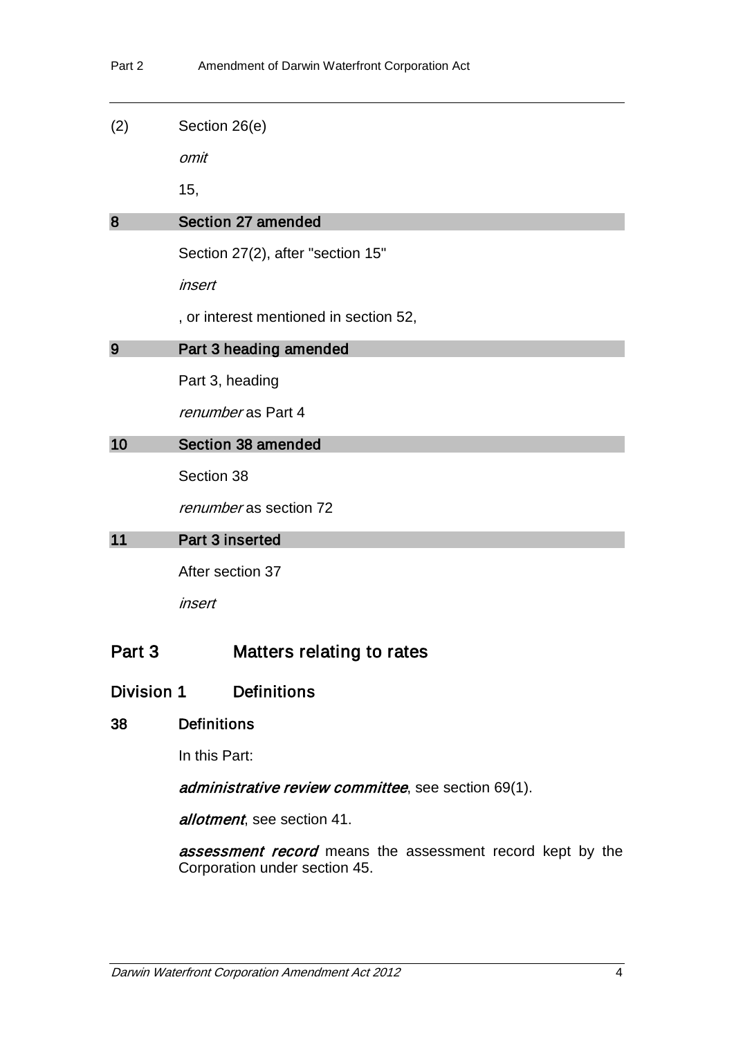(2) Section 26(e)

omit

15,

#### 8 Section 27 amended

Section 27(2), after "section 15"

insert

, or interest mentioned in section 52,

## 9 Part 3 heading amended

Part 3, heading

renumber as Part 4

#### 10 Section 38 amended

Section 38

renumber as section 72

## 11 Part 3 inserted

After section 37

insert

# Part 3 Matters relating to rates

## Division 1 Definitions

## 38 Definitions

In this Part:

administrative review committee, see section 69(1).

allotment, see section 41.

assessment record means the assessment record kept by the Corporation under section 45.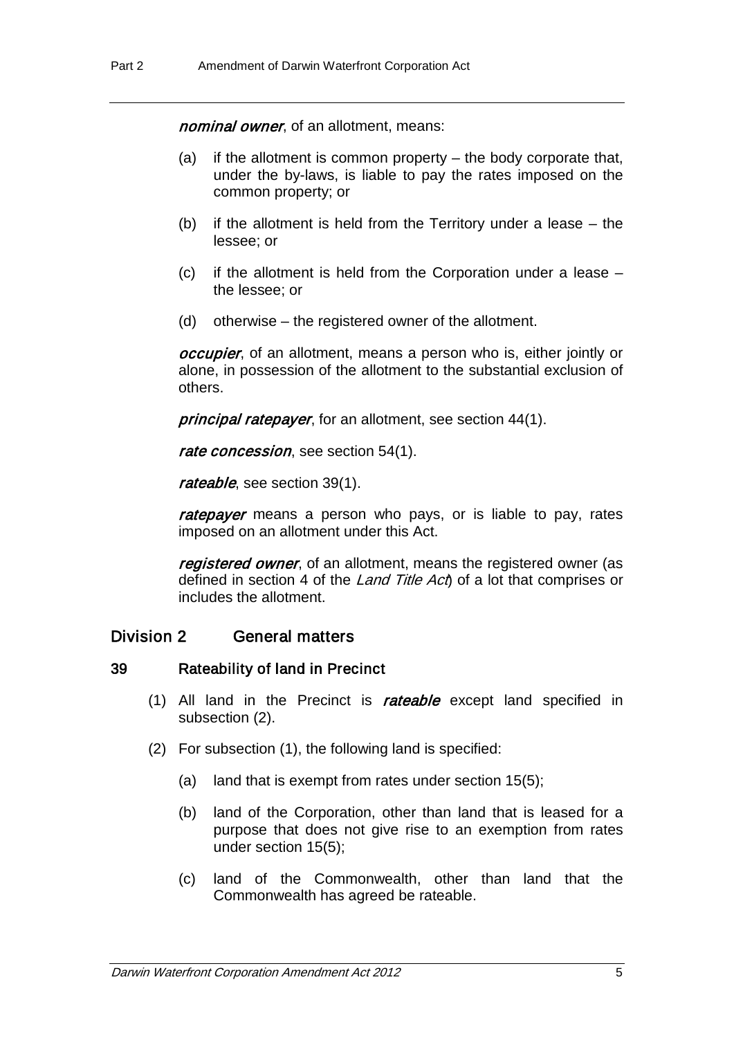nominal owner, of an allotment, means:

- (a) if the allotment is common property the body corporate that, under the by-laws, is liable to pay the rates imposed on the common property; or
- (b) if the allotment is held from the Territory under a lease the lessee; or
- (c) if the allotment is held from the Corporation under a lease the lessee; or
- (d) otherwise the registered owner of the allotment.

*occupier*, of an allotment, means a person who is, either jointly or alone, in possession of the allotment to the substantial exclusion of others.

principal ratepayer, for an allotment, see section 44(1).

rate concession, see section 54(1).

rateable, see section 39(1).

ratepayer means a person who pays, or is liable to pay, rates imposed on an allotment under this Act.

registered owner, of an allotment, means the registered owner (as defined in section 4 of the Land Title Act of a lot that comprises or includes the allotment.

## Division 2 General matters

#### 39 Rateability of land in Precinct

- (1) All land in the Precinct is rateable except land specified in subsection (2).
- (2) For subsection (1), the following land is specified:
	- (a) land that is exempt from rates under section 15(5);
	- (b) land of the Corporation, other than land that is leased for a purpose that does not give rise to an exemption from rates under section 15(5);
	- (c) land of the Commonwealth, other than land that the Commonwealth has agreed be rateable.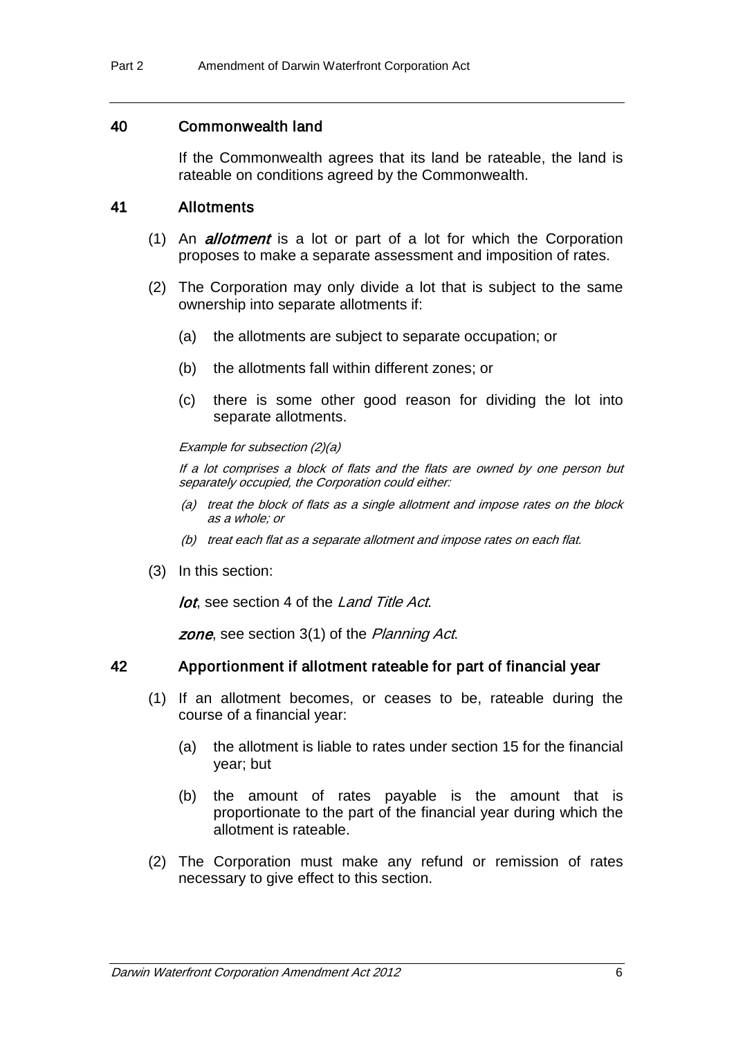#### 40 Commonwealth land

If the Commonwealth agrees that its land be rateable, the land is rateable on conditions agreed by the Commonwealth.

#### 41 Allotments

- (1) An *allotment* is a lot or part of a lot for which the Corporation proposes to make a separate assessment and imposition of rates.
- (2) The Corporation may only divide a lot that is subject to the same ownership into separate allotments if:
	- (a) the allotments are subject to separate occupation; or
	- (b) the allotments fall within different zones; or
	- (c) there is some other good reason for dividing the lot into separate allotments.

#### Example for subsection (2)(a)

If a lot comprises a block of flats and the flats are owned by one person but separately occupied, the Corporation could either:

- (a) treat the block of flats as a single allotment and impose rates on the block as a whole; or
- (b) treat each flat as a separate allotment and impose rates on each flat.
- (3) In this section:

lot, see section 4 of the Land Title Act.

zone, see section 3(1) of the Planning Act.

#### 42 Apportionment if allotment rateable for part of financial year

- (1) If an allotment becomes, or ceases to be, rateable during the course of a financial year:
	- (a) the allotment is liable to rates under section 15 for the financial year; but
	- (b) the amount of rates payable is the amount that is proportionate to the part of the financial year during which the allotment is rateable.
- (2) The Corporation must make any refund or remission of rates necessary to give effect to this section.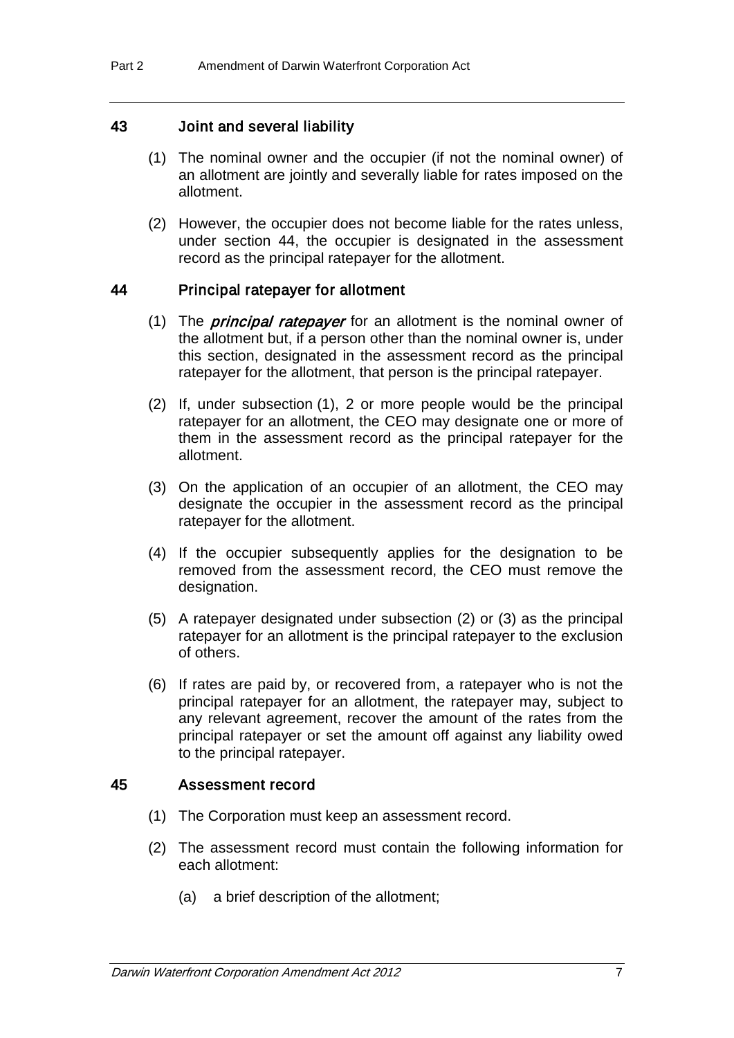#### 43 Joint and several liability

- (1) The nominal owner and the occupier (if not the nominal owner) of an allotment are jointly and severally liable for rates imposed on the allotment.
- (2) However, the occupier does not become liable for the rates unless, under section 44, the occupier is designated in the assessment record as the principal ratepayer for the allotment.

#### 44 Principal ratepayer for allotment

- (1) The *principal ratepayer* for an allotment is the nominal owner of the allotment but, if a person other than the nominal owner is, under this section, designated in the assessment record as the principal ratepayer for the allotment, that person is the principal ratepayer.
- (2) If, under subsection (1), 2 or more people would be the principal ratepayer for an allotment, the CEO may designate one or more of them in the assessment record as the principal ratepayer for the allotment.
- (3) On the application of an occupier of an allotment, the CEO may designate the occupier in the assessment record as the principal ratepayer for the allotment.
- (4) If the occupier subsequently applies for the designation to be removed from the assessment record, the CEO must remove the designation.
- (5) A ratepayer designated under subsection (2) or (3) as the principal ratepayer for an allotment is the principal ratepayer to the exclusion of others.
- (6) If rates are paid by, or recovered from, a ratepayer who is not the principal ratepayer for an allotment, the ratepayer may, subject to any relevant agreement, recover the amount of the rates from the principal ratepayer or set the amount off against any liability owed to the principal ratepayer.

#### 45 Assessment record

- (1) The Corporation must keep an assessment record.
- (2) The assessment record must contain the following information for each allotment:
	- (a) a brief description of the allotment;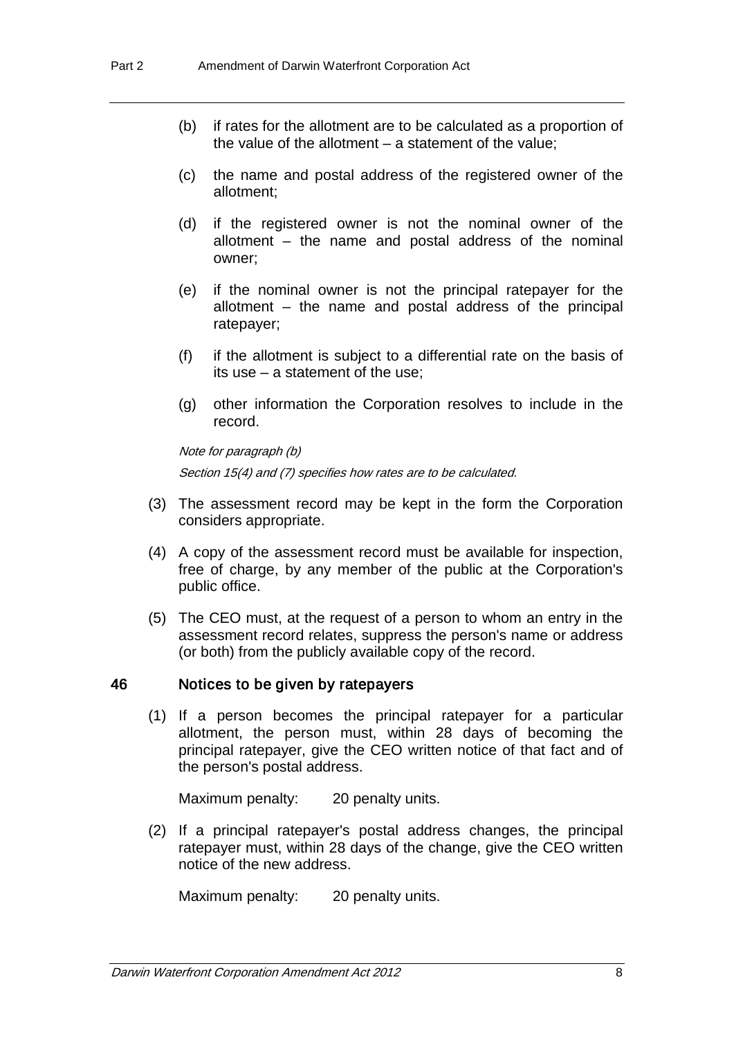- (b) if rates for the allotment are to be calculated as a proportion of the value of the allotment  $-$  a statement of the value;
- (c) the name and postal address of the registered owner of the allotment;
- (d) if the registered owner is not the nominal owner of the allotment – the name and postal address of the nominal owner;
- (e) if the nominal owner is not the principal ratepayer for the allotment – the name and postal address of the principal ratepayer;
- (f) if the allotment is subject to a differential rate on the basis of its use – a statement of the use;
- (g) other information the Corporation resolves to include in the record.

Section 15(4) and (7) specifies how rates are to be calculated.

- (3) The assessment record may be kept in the form the Corporation considers appropriate.
- (4) A copy of the assessment record must be available for inspection, free of charge, by any member of the public at the Corporation's public office.
- (5) The CEO must, at the request of a person to whom an entry in the assessment record relates, suppress the person's name or address (or both) from the publicly available copy of the record.

#### 46 Notices to be given by ratepayers

Note for paragraph (b)

(1) If a person becomes the principal ratepayer for a particular allotment, the person must, within 28 days of becoming the principal ratepayer, give the CEO written notice of that fact and of the person's postal address.

Maximum penalty: 20 penalty units.

(2) If a principal ratepayer's postal address changes, the principal ratepayer must, within 28 days of the change, give the CEO written notice of the new address.

Maximum penalty: 20 penalty units.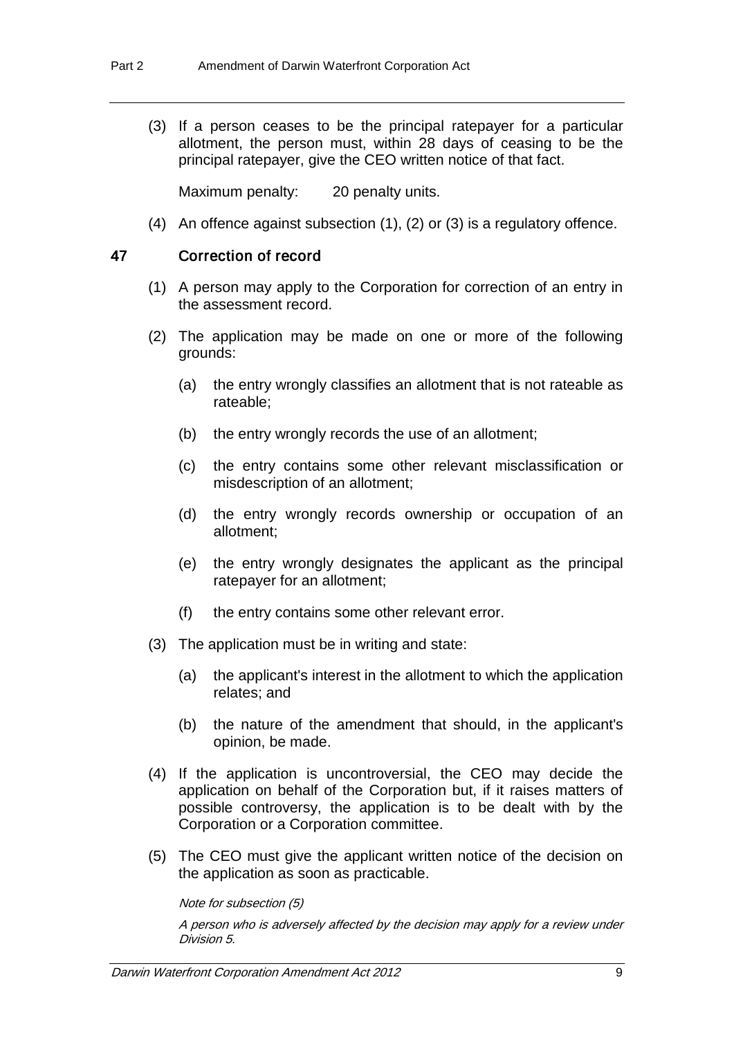(3) If a person ceases to be the principal ratepayer for a particular allotment, the person must, within 28 days of ceasing to be the principal ratepayer, give the CEO written notice of that fact.

Maximum penalty: 20 penalty units.

(4) An offence against subsection (1), (2) or (3) is a regulatory offence.

## 47 Correction of record

- (1) A person may apply to the Corporation for correction of an entry in the assessment record.
- (2) The application may be made on one or more of the following grounds:
	- (a) the entry wrongly classifies an allotment that is not rateable as rateable;
	- (b) the entry wrongly records the use of an allotment;
	- (c) the entry contains some other relevant misclassification or misdescription of an allotment;
	- (d) the entry wrongly records ownership or occupation of an allotment;
	- (e) the entry wrongly designates the applicant as the principal ratepayer for an allotment;
	- (f) the entry contains some other relevant error.
- (3) The application must be in writing and state:
	- (a) the applicant's interest in the allotment to which the application relates; and
	- (b) the nature of the amendment that should, in the applicant's opinion, be made.
- (4) If the application is uncontroversial, the CEO may decide the application on behalf of the Corporation but, if it raises matters of possible controversy, the application is to be dealt with by the Corporation or a Corporation committee.
- (5) The CEO must give the applicant written notice of the decision on the application as soon as practicable.

Note for subsection (5)

A person who is adversely affected by the decision may apply for a review under Division 5.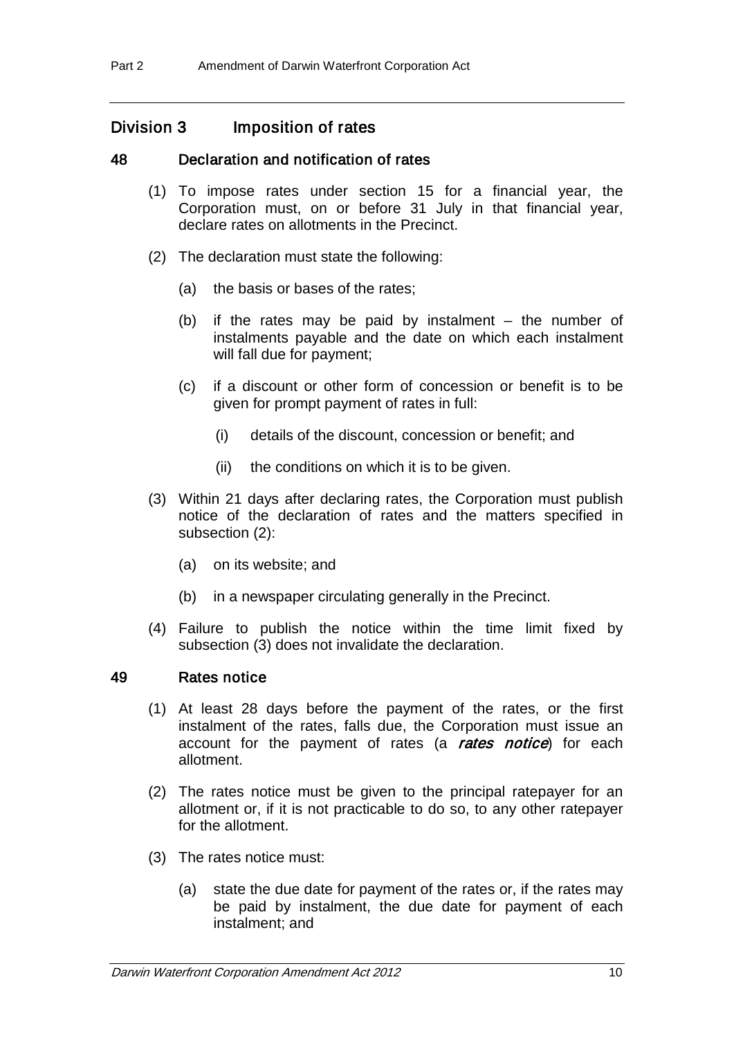## Division 3 Imposition of rates

### 48 Declaration and notification of rates

- (1) To impose rates under section 15 for a financial year, the Corporation must, on or before 31 July in that financial year, declare rates on allotments in the Precinct.
- (2) The declaration must state the following:
	- (a) the basis or bases of the rates;
	- (b) if the rates may be paid by instalment the number of instalments payable and the date on which each instalment will fall due for payment;
	- (c) if a discount or other form of concession or benefit is to be given for prompt payment of rates in full:
		- (i) details of the discount, concession or benefit; and
		- (ii) the conditions on which it is to be given.
- (3) Within 21 days after declaring rates, the Corporation must publish notice of the declaration of rates and the matters specified in subsection (2):
	- (a) on its website; and
	- (b) in a newspaper circulating generally in the Precinct.
- (4) Failure to publish the notice within the time limit fixed by subsection (3) does not invalidate the declaration.

#### 49 Rates notice

- (1) At least 28 days before the payment of the rates, or the first instalment of the rates, falls due, the Corporation must issue an account for the payment of rates (a rates notice) for each allotment.
- (2) The rates notice must be given to the principal ratepayer for an allotment or, if it is not practicable to do so, to any other ratepayer for the allotment.
- (3) The rates notice must:
	- (a) state the due date for payment of the rates or, if the rates may be paid by instalment, the due date for payment of each instalment; and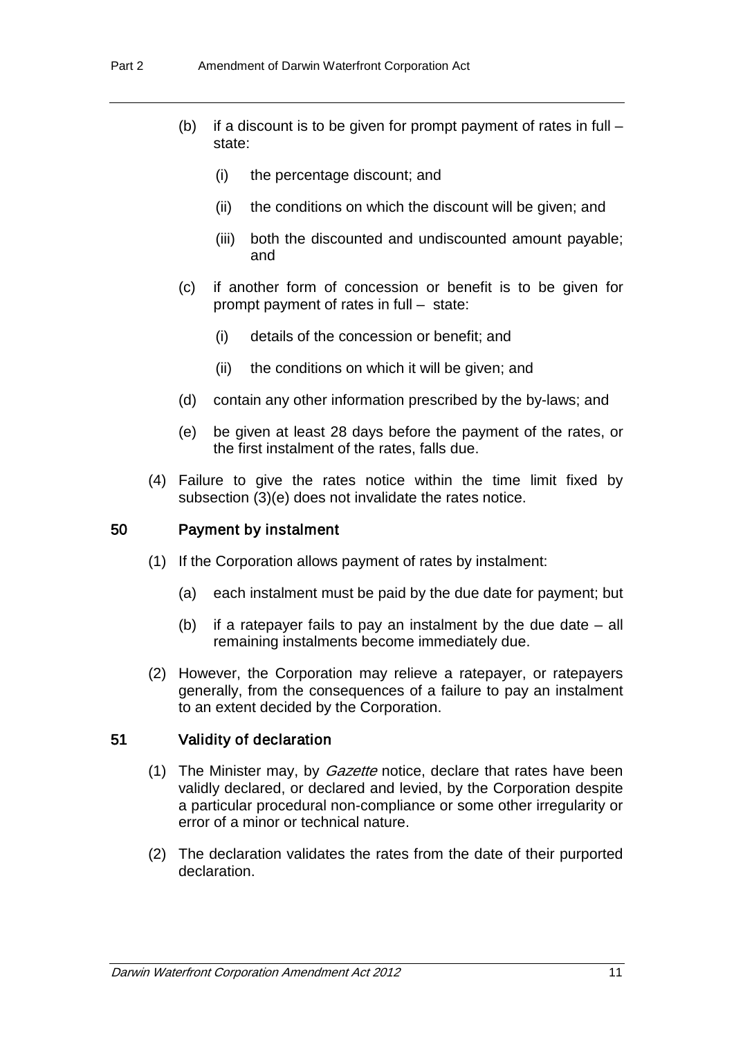- (b) if a discount is to be given for prompt payment of rates in full state:
	- (i) the percentage discount; and
	- (ii) the conditions on which the discount will be given; and
	- (iii) both the discounted and undiscounted amount payable; and
- (c) if another form of concession or benefit is to be given for prompt payment of rates in full – state:
	- (i) details of the concession or benefit; and
	- (ii) the conditions on which it will be given; and
- (d) contain any other information prescribed by the by-laws; and
- (e) be given at least 28 days before the payment of the rates, or the first instalment of the rates, falls due.
- (4) Failure to give the rates notice within the time limit fixed by subsection (3)(e) does not invalidate the rates notice.

#### 50 Payment by instalment

- (1) If the Corporation allows payment of rates by instalment:
	- (a) each instalment must be paid by the due date for payment; but
	- (b) if a ratepayer fails to pay an instalment by the due date all remaining instalments become immediately due.
- (2) However, the Corporation may relieve a ratepayer, or ratepayers generally, from the consequences of a failure to pay an instalment to an extent decided by the Corporation.

#### 51 Validity of declaration

- (1) The Minister may, by *Gazette* notice, declare that rates have been validly declared, or declared and levied, by the Corporation despite a particular procedural non-compliance or some other irregularity or error of a minor or technical nature.
- (2) The declaration validates the rates from the date of their purported declaration.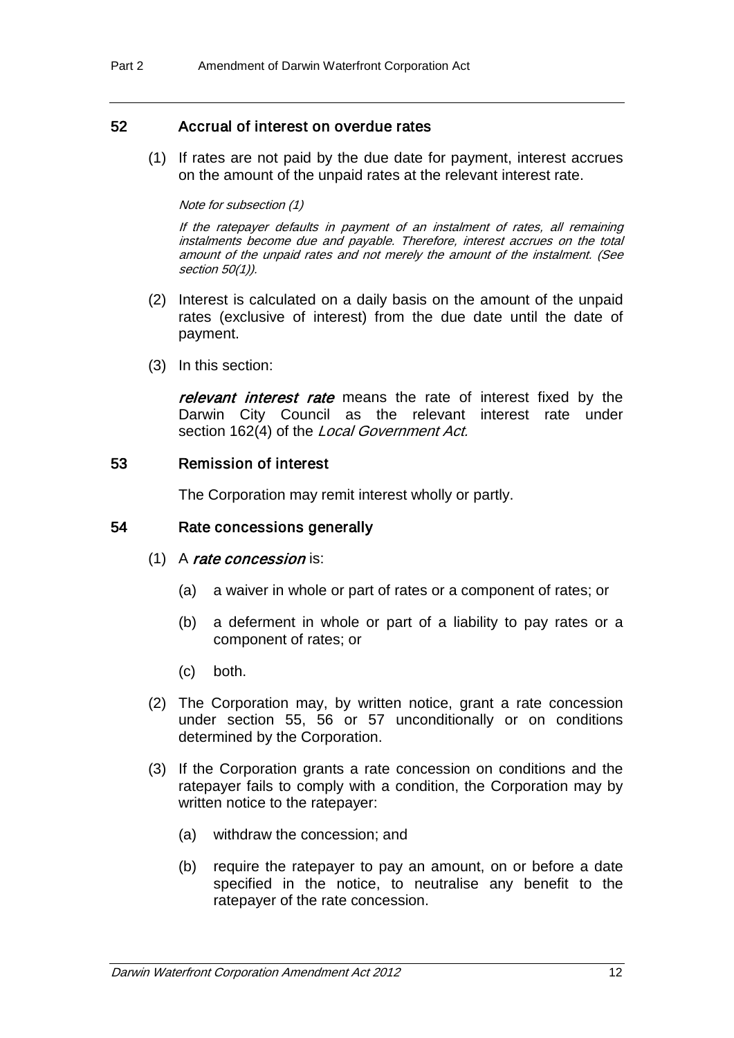### 52 Accrual of interest on overdue rates

(1) If rates are not paid by the due date for payment, interest accrues on the amount of the unpaid rates at the relevant interest rate.

#### Note for subsection (1)

If the ratepayer defaults in payment of an instalment of rates, all remaining instalments become due and payable. Therefore, interest accrues on the total amount of the unpaid rates and not merely the amount of the instalment. (See section 50(1)).

- (2) Interest is calculated on a daily basis on the amount of the unpaid rates (exclusive of interest) from the due date until the date of payment.
- (3) In this section:

relevant interest rate means the rate of interest fixed by the Darwin City Council as the relevant interest rate under section 162(4) of the Local Government Act.

#### 53 Remission of interest

The Corporation may remit interest wholly or partly.

#### 54 Rate concessions generally

#### (1) A rate concession is:

- (a) a waiver in whole or part of rates or a component of rates; or
- (b) a deferment in whole or part of a liability to pay rates or a component of rates; or
- (c) both.
- (2) The Corporation may, by written notice, grant a rate concession under section 55, 56 or 57 unconditionally or on conditions determined by the Corporation.
- (3) If the Corporation grants a rate concession on conditions and the ratepayer fails to comply with a condition, the Corporation may by written notice to the ratepayer:
	- (a) withdraw the concession; and
	- (b) require the ratepayer to pay an amount, on or before a date specified in the notice, to neutralise any benefit to the ratepayer of the rate concession.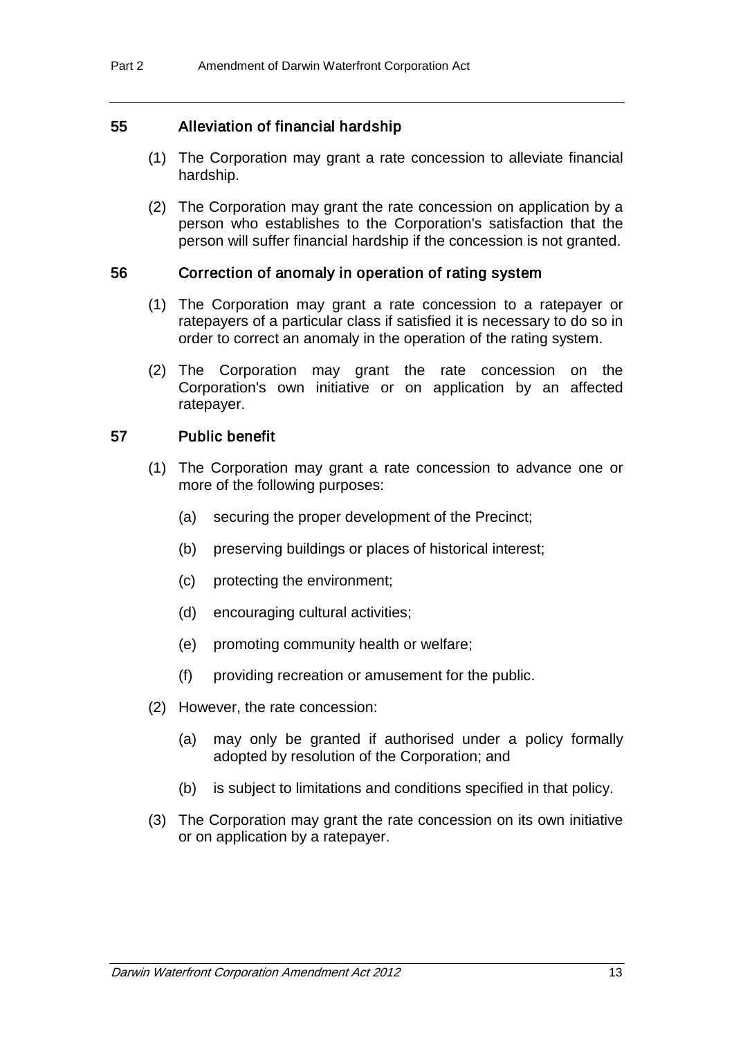## 55 Alleviation of financial hardship

- (1) The Corporation may grant a rate concession to alleviate financial hardship.
- (2) The Corporation may grant the rate concession on application by a person who establishes to the Corporation's satisfaction that the person will suffer financial hardship if the concession is not granted.

### 56 Correction of anomaly in operation of rating system

- (1) The Corporation may grant a rate concession to a ratepayer or ratepayers of a particular class if satisfied it is necessary to do so in order to correct an anomaly in the operation of the rating system.
- (2) The Corporation may grant the rate concession on the Corporation's own initiative or on application by an affected ratepayer.

## 57 Public benefit

- (1) The Corporation may grant a rate concession to advance one or more of the following purposes:
	- (a) securing the proper development of the Precinct;
	- (b) preserving buildings or places of historical interest;
	- (c) protecting the environment;
	- (d) encouraging cultural activities;
	- (e) promoting community health or welfare;
	- (f) providing recreation or amusement for the public.
- (2) However, the rate concession:
	- (a) may only be granted if authorised under a policy formally adopted by resolution of the Corporation; and
	- (b) is subject to limitations and conditions specified in that policy.
- (3) The Corporation may grant the rate concession on its own initiative or on application by a ratepayer.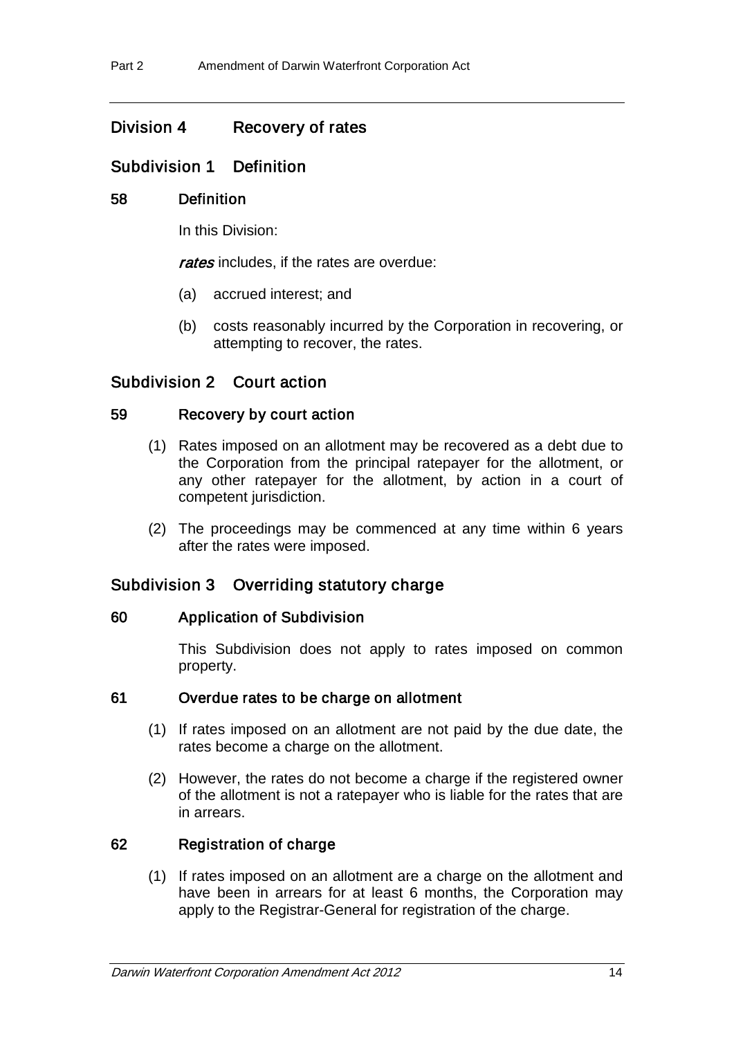# Division 4 Recovery of rates

## Subdivision 1 Definition

### 58 Definition

In this Division:

rates includes, if the rates are overdue:

- (a) accrued interest; and
- (b) costs reasonably incurred by the Corporation in recovering, or attempting to recover, the rates.

## Subdivision 2 Court action

### 59 Recovery by court action

- (1) Rates imposed on an allotment may be recovered as a debt due to the Corporation from the principal ratepayer for the allotment, or any other ratepayer for the allotment, by action in a court of competent jurisdiction.
- (2) The proceedings may be commenced at any time within 6 years after the rates were imposed.

## Subdivision 3 Overriding statutory charge

#### 60 Application of Subdivision

This Subdivision does not apply to rates imposed on common property.

#### 61 Overdue rates to be charge on allotment

- (1) If rates imposed on an allotment are not paid by the due date, the rates become a charge on the allotment.
- (2) However, the rates do not become a charge if the registered owner of the allotment is not a ratepayer who is liable for the rates that are in arrears.

## 62 Registration of charge

(1) If rates imposed on an allotment are a charge on the allotment and have been in arrears for at least 6 months, the Corporation may apply to the Registrar-General for registration of the charge.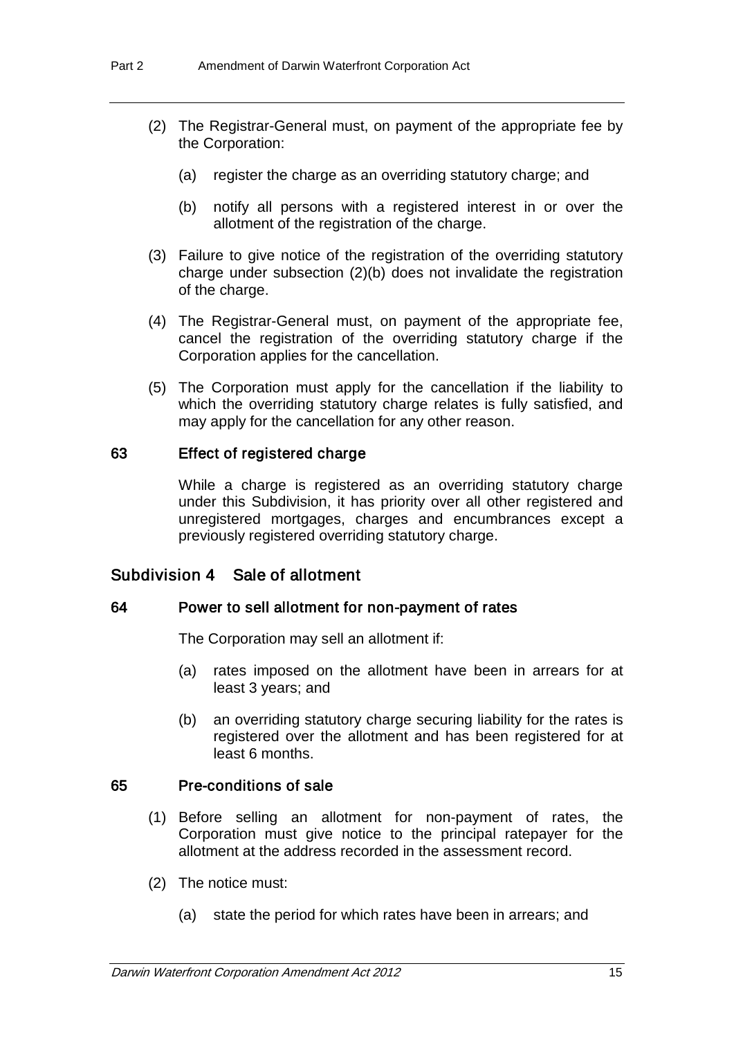- (2) The Registrar-General must, on payment of the appropriate fee by the Corporation:
	- (a) register the charge as an overriding statutory charge; and
	- (b) notify all persons with a registered interest in or over the allotment of the registration of the charge.
- (3) Failure to give notice of the registration of the overriding statutory charge under subsection (2)(b) does not invalidate the registration of the charge.
- (4) The Registrar-General must, on payment of the appropriate fee, cancel the registration of the overriding statutory charge if the Corporation applies for the cancellation.
- (5) The Corporation must apply for the cancellation if the liability to which the overriding statutory charge relates is fully satisfied, and may apply for the cancellation for any other reason.

#### 63 Effect of registered charge

While a charge is registered as an overriding statutory charge under this Subdivision, it has priority over all other registered and unregistered mortgages, charges and encumbrances except a previously registered overriding statutory charge.

## Subdivision 4 Sale of allotment

#### 64 Power to sell allotment for non-payment of rates

The Corporation may sell an allotment if:

- (a) rates imposed on the allotment have been in arrears for at least 3 years; and
- (b) an overriding statutory charge securing liability for the rates is registered over the allotment and has been registered for at least 6 months.

#### 65 Pre-conditions of sale

- (1) Before selling an allotment for non-payment of rates, the Corporation must give notice to the principal ratepayer for the allotment at the address recorded in the assessment record.
- (2) The notice must:
	- (a) state the period for which rates have been in arrears; and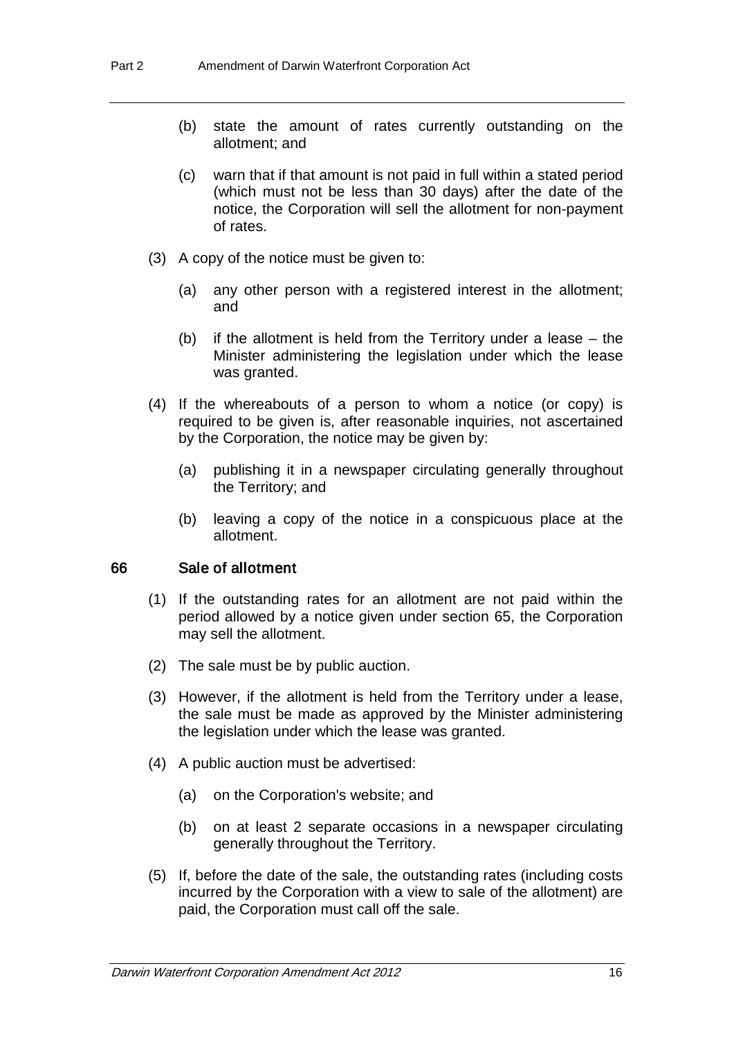- (b) state the amount of rates currently outstanding on the allotment; and
- (c) warn that if that amount is not paid in full within a stated period (which must not be less than 30 days) after the date of the notice, the Corporation will sell the allotment for non-payment of rates.
- (3) A copy of the notice must be given to:
	- (a) any other person with a registered interest in the allotment; and
	- (b) if the allotment is held from the Territory under a lease the Minister administering the legislation under which the lease was granted.
- (4) If the whereabouts of a person to whom a notice (or copy) is required to be given is, after reasonable inquiries, not ascertained by the Corporation, the notice may be given by:
	- (a) publishing it in a newspaper circulating generally throughout the Territory; and
	- (b) leaving a copy of the notice in a conspicuous place at the allotment.

#### 66 Sale of allotment

- (1) If the outstanding rates for an allotment are not paid within the period allowed by a notice given under section 65, the Corporation may sell the allotment.
- (2) The sale must be by public auction.
- (3) However, if the allotment is held from the Territory under a lease, the sale must be made as approved by the Minister administering the legislation under which the lease was granted.
- (4) A public auction must be advertised:
	- (a) on the Corporation's website; and
	- (b) on at least 2 separate occasions in a newspaper circulating generally throughout the Territory.
- (5) If, before the date of the sale, the outstanding rates (including costs incurred by the Corporation with a view to sale of the allotment) are paid, the Corporation must call off the sale.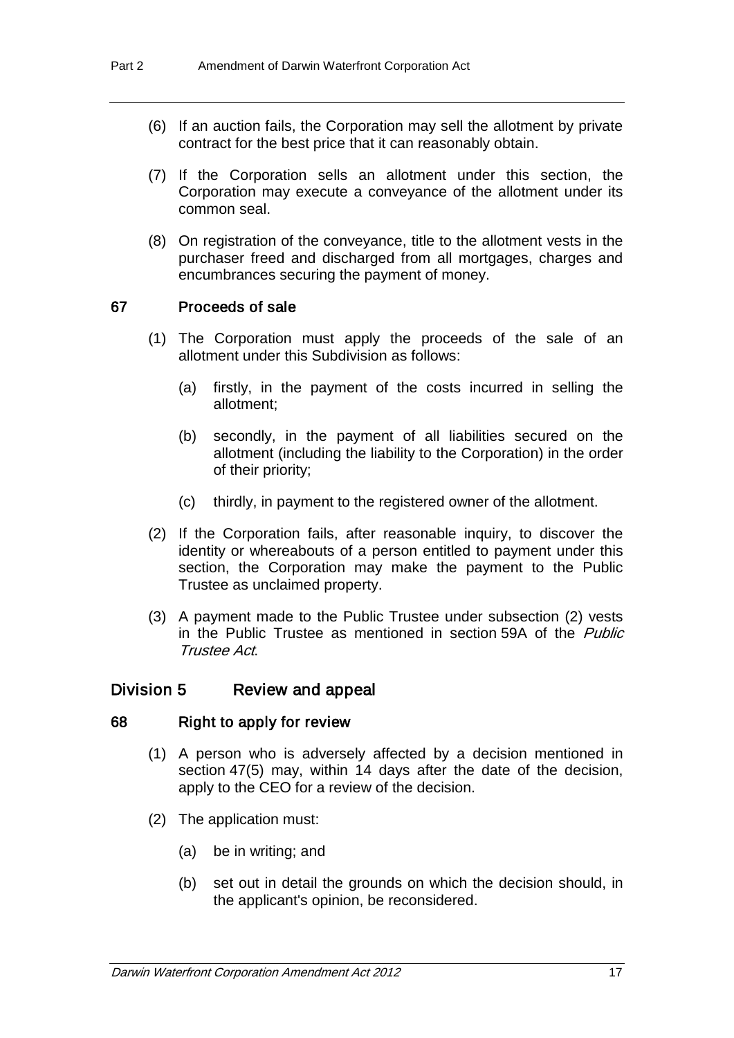- (6) If an auction fails, the Corporation may sell the allotment by private contract for the best price that it can reasonably obtain.
- (7) If the Corporation sells an allotment under this section, the Corporation may execute a conveyance of the allotment under its common seal.
- (8) On registration of the conveyance, title to the allotment vests in the purchaser freed and discharged from all mortgages, charges and encumbrances securing the payment of money.

#### 67 Proceeds of sale

- (1) The Corporation must apply the proceeds of the sale of an allotment under this Subdivision as follows:
	- (a) firstly, in the payment of the costs incurred in selling the allotment;
	- (b) secondly, in the payment of all liabilities secured on the allotment (including the liability to the Corporation) in the order of their priority;
	- (c) thirdly, in payment to the registered owner of the allotment.
- (2) If the Corporation fails, after reasonable inquiry, to discover the identity or whereabouts of a person entitled to payment under this section, the Corporation may make the payment to the Public Trustee as unclaimed property.
- (3) A payment made to the Public Trustee under subsection (2) vests in the Public Trustee as mentioned in section 59A of the *Public* Trustee Act.

## Division 5 Review and appeal

#### 68 Right to apply for review

- (1) A person who is adversely affected by a decision mentioned in section 47(5) may, within 14 days after the date of the decision, apply to the CEO for a review of the decision.
- (2) The application must:
	- (a) be in writing; and
	- (b) set out in detail the grounds on which the decision should, in the applicant's opinion, be reconsidered.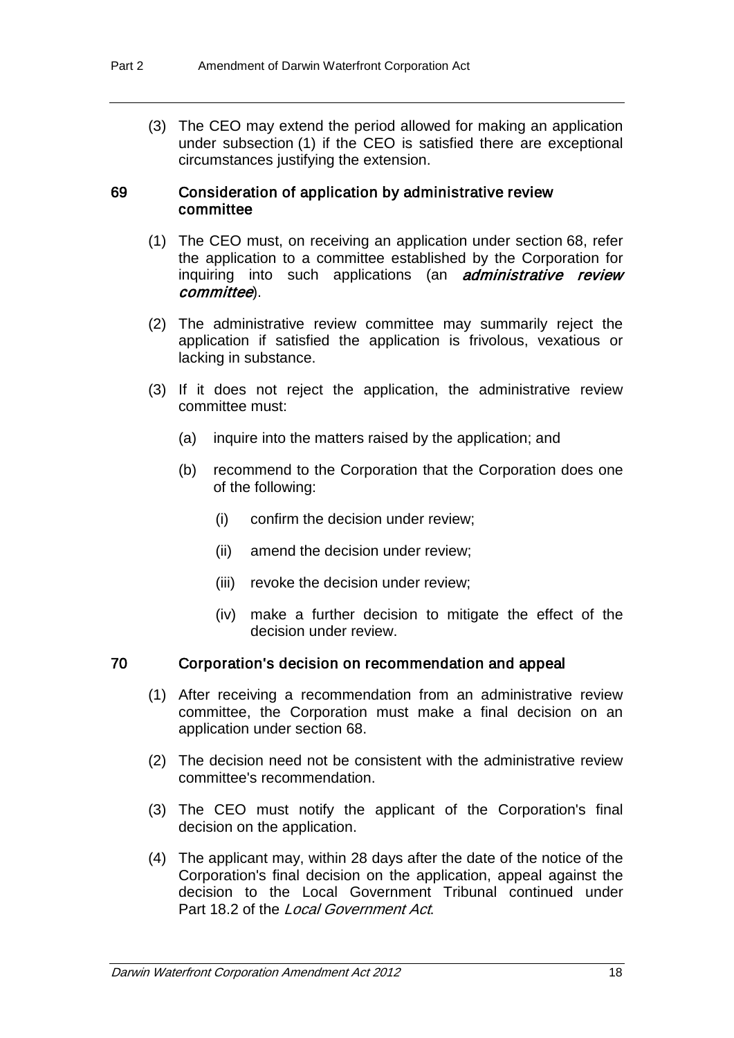(3) The CEO may extend the period allowed for making an application under subsection (1) if the CEO is satisfied there are exceptional circumstances justifying the extension.

#### 69 Consideration of application by administrative review committee

- (1) The CEO must, on receiving an application under section 68, refer the application to a committee established by the Corporation for inquiring into such applications (an *administrative review* committee).
- (2) The administrative review committee may summarily reject the application if satisfied the application is frivolous, vexatious or lacking in substance.
- (3) If it does not reject the application, the administrative review committee must:
	- (a) inquire into the matters raised by the application; and
	- (b) recommend to the Corporation that the Corporation does one of the following:
		- (i) confirm the decision under review;
		- (ii) amend the decision under review;
		- (iii) revoke the decision under review;
		- (iv) make a further decision to mitigate the effect of the decision under review.

#### 70 Corporation's decision on recommendation and appeal

- (1) After receiving a recommendation from an administrative review committee, the Corporation must make a final decision on an application under section 68.
- (2) The decision need not be consistent with the administrative review committee's recommendation.
- (3) The CEO must notify the applicant of the Corporation's final decision on the application.
- (4) The applicant may, within 28 days after the date of the notice of the Corporation's final decision on the application, appeal against the decision to the Local Government Tribunal continued under Part 18.2 of the Local Government Act.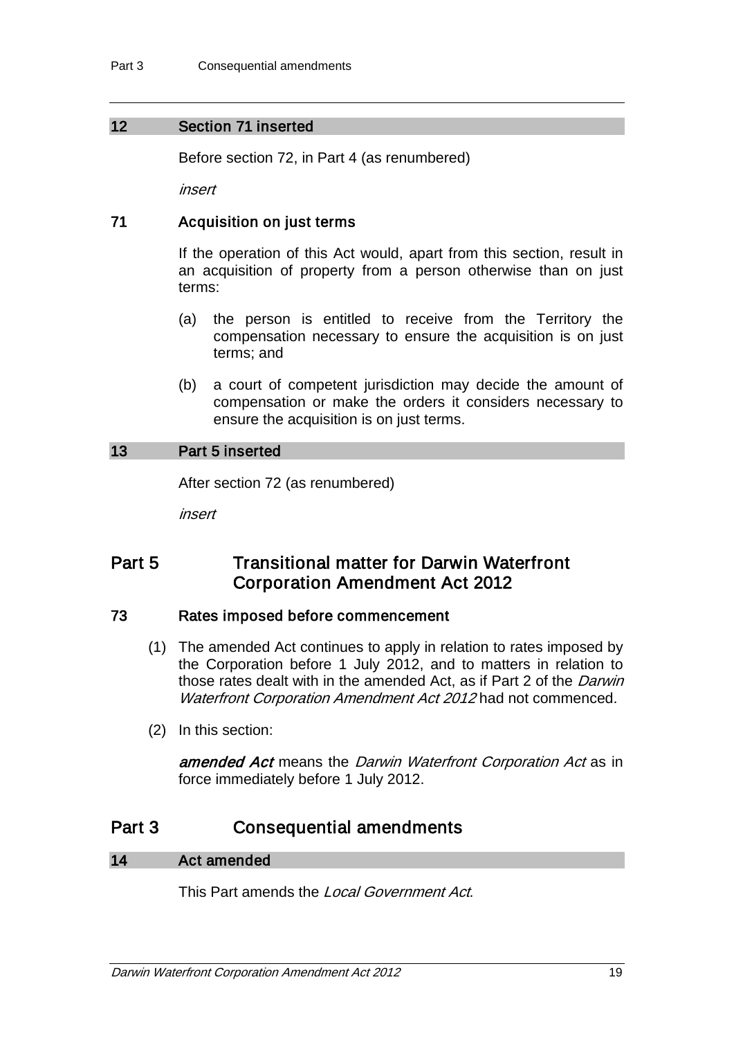## 12 Section 71 inserted

Before section 72, in Part 4 (as renumbered)

insert

## 71 Acquisition on just terms

If the operation of this Act would, apart from this section, result in an acquisition of property from a person otherwise than on just terms:

- (a) the person is entitled to receive from the Territory the compensation necessary to ensure the acquisition is on just terms; and
- (b) a court of competent jurisdiction may decide the amount of compensation or make the orders it considers necessary to ensure the acquisition is on just terms.

### 13 Part 5 inserted

After section 72 (as renumbered)

insert

# Part 5 **Transitional matter for Darwin Waterfront** Corporation Amendment Act 2012

#### 73 Rates imposed before commencement

- (1) The amended Act continues to apply in relation to rates imposed by the Corporation before 1 July 2012, and to matters in relation to those rates dealt with in the amended Act, as if Part 2 of the *Darwin* Waterfront Corporation Amendment Act 2012 had not commenced.
- (2) In this section:

amended Act means the Darwin Waterfront Corporation Act as in force immediately before 1 July 2012.

# Part 3 Consequential amendments

## 14 Act amended

This Part amends the Local Government Act.